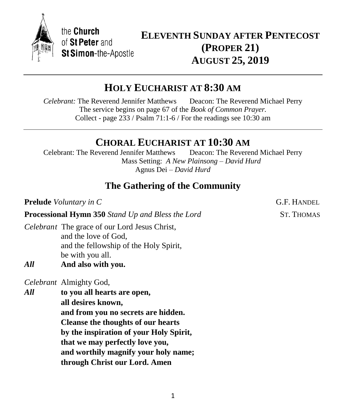

the Church of St Peter and St Simon-the-Apostle

# **ELEVENTH SUNDAY AFTER PENTECOST (PROPER 21) AUGUST 25, 2019**

# **HOLY EUCHARIST AT 8:30 AM**

*Celebrant:* The Reverend Jennifer Matthews Deacon: The Reverend Michael Perry The service begins on page 67 of the *Book of Common Prayer.* Collect - page 233 / Psalm 71:1-6 / For the readings see 10:30 am

# **CHORAL EUCHARIST AT 10:30 AM**

Celebrant: The Reverend Jennifer Matthews Deacon: The Reverend Michael Perry Mass Setting: *A New Plainsong – David Hurd* Agnus Dei – *David Hurd*

# **The Gathering of the Community**

**Processional Hymn 350** *Stand Up and Bless the Lord* ST. THOMAS

*Celebrant* The grace of our Lord Jesus Christ, and the love of God, and the fellowship of the Holy Spirit, be with you all.

*All* **And also with you.**

*Celebrant* Almighty God,

*All* **to you all hearts are open, all desires known, and from you no secrets are hidden. Cleanse the thoughts of our hearts by the inspiration of your Holy Spirit, that we may perfectly love you, and worthily magnify your holy name; through Christ our Lord. Amen**

**Prelude** *Voluntary in C* G.F. HANDEL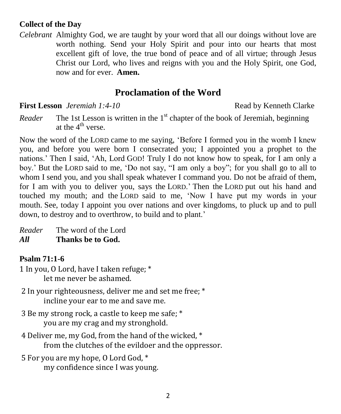## **Collect of the Day**

*Celebrant* Almighty God, we are taught by your word that all our doings without love are worth nothing. Send your Holy Spirit and pour into our hearts that most excellent gift of love, the true bond of peace and of all virtue; through Jesus Christ our Lord, who lives and reigns with you and the Holy Spirit, one God, now and for ever. **Amen.** 

## **Proclamation of the Word**

**First Lesson** *Jeremiah 1:4-10* **Read by Kenneth Clarke** 

*Reader* The 1st Lesson is written in the 1<sup>st</sup> chapter of the book of Jeremiah, beginning at the  $4^{\text{th}}$  verse.

Now the word of the LORD came to me saying, 'Before I formed you in the womb I knew you, and before you were born I consecrated you; I appointed you a prophet to the nations.' Then I said, 'Ah, Lord GOD! Truly I do not know how to speak, for I am only a boy.' But the LORD said to me, 'Do not say, "I am only a boy"; for you shall go to all to whom I send you, and you shall speak whatever I command you. Do not be afraid of them, for I am with you to deliver you, says the LORD.' Then the LORD put out his hand and touched my mouth; and the LORD said to me, 'Now I have put my words in your mouth. See, today I appoint you over nations and over kingdoms, to pluck up and to pull down, to destroy and to overthrow, to build and to plant.'

*Reader* The word of the Lord *All* **Thanks be to God.**

## **Psalm 71:1-6**

- 1 In you, O Lord, have I taken refuge; \* let me never be ashamed.
- 2 In your righteousness, deliver me and set me free; \* incline your ear to me and save me.
- 3 Be my strong rock, a castle to keep me safe; \* you are my crag and my stronghold.
- 4 Deliver me, my God, from the hand of the wicked, \* from the clutches of the evildoer and the oppressor.
- 5 For you are my hope, O Lord God, \* my confidence since I was young.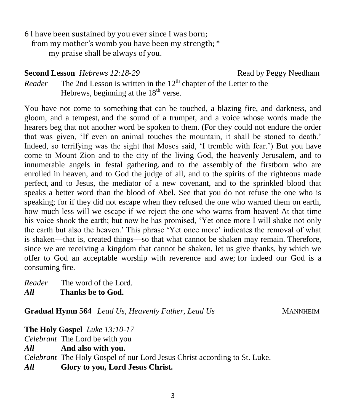6 I have been sustained by you ever since I was born; from my mother's womb you have been my strength; \* my praise shall be always of you.

**Second Lesson** *Hebrews 12:18-29* **Read by Peggy Needham** 

*Reader* The 2nd Lesson is written in the  $12<sup>th</sup>$  chapter of the Letter to the Hebrews, beginning at the  $18<sup>th</sup>$  verse.

You have not come to something that can be touched, a blazing fire, and darkness, and gloom, and a tempest, and the sound of a trumpet, and a voice whose words made the hearers beg that not another word be spoken to them. (For they could not endure the order that was given, 'If even an animal touches the mountain, it shall be stoned to death.' Indeed, so terrifying was the sight that Moses said, 'I tremble with fear.') But you have come to Mount Zion and to the city of the living God, the heavenly Jerusalem, and to innumerable angels in festal gathering, and to the assembly of the firstborn who are enrolled in heaven, and to God the judge of all, and to the spirits of the righteous made perfect, and to Jesus, the mediator of a new covenant, and to the sprinkled blood that speaks a better word than the blood of Abel. See that you do not refuse the one who is speaking; for if they did not escape when they refused the one who warned them on earth, how much less will we escape if we reject the one who warns from heaven! At that time his voice shook the earth; but now he has promised, 'Yet once more I will shake not only the earth but also the heaven.' This phrase 'Yet once more' indicates the removal of what is shaken—that is, created things—so that what cannot be shaken may remain. Therefore, since we are receiving a kingdom that cannot be shaken, let us give thanks, by which we offer to God an acceptable worship with reverence and awe; for indeed our God is a consuming fire.

*Reader* The word of the Lord. *All* **Thanks be to God.**

Gradual Hymn 564 *Lead Us, Heavenly Father, Lead Us* MANNHEIM

**The Holy Gospel** *Luke 13:10-17 Celebrant* The Lord be with you *All* **And also with you.** *Celebrant* The Holy Gospel of our Lord Jesus Christ according to St. Luke. *All* **Glory to you, Lord Jesus Christ.**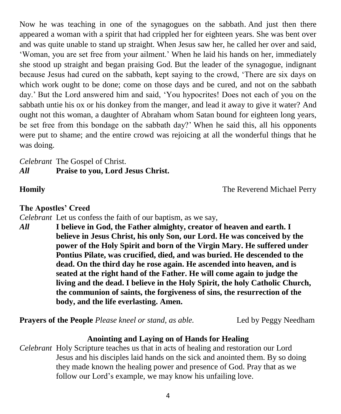Now he was teaching in one of the synagogues on the sabbath. And just then there appeared a woman with a spirit that had crippled her for eighteen years. She was bent over and was quite unable to stand up straight. When Jesus saw her, he called her over and said, 'Woman, you are set free from your ailment.' When he laid his hands on her, immediately she stood up straight and began praising God. But the leader of the synagogue, indignant because Jesus had cured on the sabbath, kept saying to the crowd, 'There are six days on which work ought to be done; come on those days and be cured, and not on the sabbath day.' But the Lord answered him and said, 'You hypocrites! Does not each of you on the sabbath untie his ox or his donkey from the manger, and lead it away to give it water? And ought not this woman, a daughter of Abraham whom Satan bound for eighteen long years, be set free from this bondage on the sabbath day?' When he said this, all his opponents were put to shame; and the entire crowd was rejoicing at all the wonderful things that he was doing.

### *Celebrant* The Gospel of Christ. *All* **Praise to you, Lord Jesus Christ.**

**Homily The Reverend Michael Perry** 

**The Apostles' Creed**

*Celebrant* Let us confess the faith of our baptism, as we say,

*All* **I believe in God, the Father almighty, creator of heaven and earth. I believe in Jesus Christ, his only Son, our Lord. He was conceived by the power of the Holy Spirit and born of the Virgin Mary. He suffered under Pontius Pilate, was crucified, died, and was buried. He descended to the dead. On the third day he rose again. He ascended into heaven, and is seated at the right hand of the Father. He will come again to judge the living and the dead. I believe in the Holy Spirit, the holy Catholic Church, the communion of saints, the forgiveness of sins, the resurrection of the body, and the life everlasting. Amen.**

**Prayers of the People** *Please kneel or stand, as able.* Led by Peggy Needham

## **Anointing and Laying on of Hands for Healing**

*Celebrant* Holy Scripture teaches us that in acts of healing and restoration our Lord Jesus and his disciples laid hands on the sick and anointed them. By so doing they made known the healing power and presence of God. Pray that as we follow our Lord's example, we may know his unfailing love.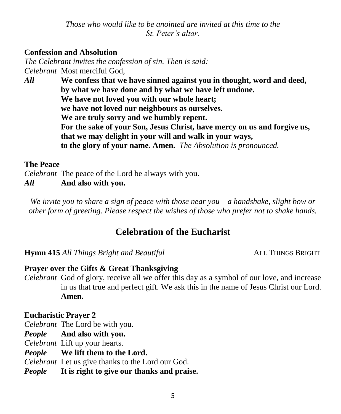*Those who would like to be anointed are invited at this time to the St. Peter's altar.*

#### **Confession and Absolution**

*The Celebrant invites the confession of sin. Then is said: Celebrant* Most merciful God,

*All* **We confess that we have sinned against you in thought, word and deed, by what we have done and by what we have left undone. We have not loved you with our whole heart; we have not loved our neighbours as ourselves. We are truly sorry and we humbly repent. For the sake of your Son, Jesus Christ, have mercy on us and forgive us, that we may delight in your will and walk in your ways, to the glory of your name. Amen.** *The Absolution is pronounced.*

#### **The Peace**

*Celebrant* The peace of the Lord be always with you.

*All* **And also with you.**

*We invite you to share a sign of peace with those near you – a handshake, slight bow or other form of greeting. Please respect the wishes of those who prefer not to shake hands.*

## **Celebration of the Eucharist**

**Hymn 415** *All Things Bright and Beautiful* ALL THINGS BRIGHT

#### **Prayer over the Gifts & Great Thanksgiving**

*Celebrant* God of glory, receive all we offer this day as a symbol of our love, and increase in us that true and perfect gift. We ask this in the name of Jesus Christ our Lord. **Amen.**

#### **Eucharistic Prayer 2**

*Celebrant* The Lord be with you.

*People* **And also with you.**

*Celebrant* Lift up your hearts.

*People* **We lift them to the Lord.**

*Celebrant* Let us give thanks to the Lord our God.

*People* **It is right to give our thanks and praise.**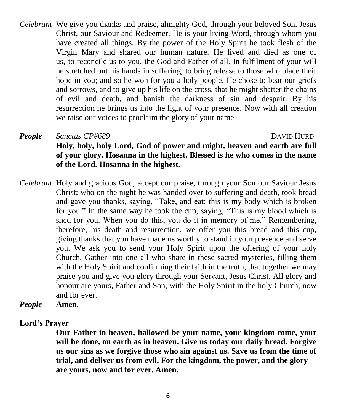*Celebrant* We give you thanks and praise, almighty God, through your beloved Son, Jesus Christ, our Saviour and Redeemer. He is your living Word, through whom you have created all things. By the power of the Holy Spirit he took flesh of the Virgin Mary and shared our human nature. He lived and died as one of us, to reconcile us to you, the God and Father of all. In fulfilment of your will he stretched out his hands in suffering, to bring release to those who place their hope in you; and so he won for you a holy people. He chose to bear our griefs and sorrows, and to give up his life on the cross, that he might shatter the chains of evil and death, and banish the darkness of sin and despair. By his resurrection he brings us into the light of your presence. Now with all creation we raise our voices to proclaim the glory of your name.

*People Sanctus CP#689* DAVID HURD **Holy, holy, holy Lord, God of power and might, heaven and earth are full of your glory. Hosanna in the highest. Blessed is he who comes in the name of the Lord. Hosanna in the highest.**

*Celebrant* Holy and gracious God, accept our praise, through your Son our Saviour Jesus Christ; who on the night he was handed over to suffering and death, took bread and gave you thanks, saying, "Take, and eat: this is my body which is broken for you." In the same way he took the cup, saying, "This is my blood which is shed for you. When you do this, you do it in memory of me." Remembering, therefore, his death and resurrection, we offer you this bread and this cup, giving thanks that you have made us worthy to stand in your presence and serve you. We ask you to send your Holy Spirit upon the offering of your holy Church. Gather into one all who share in these sacred mysteries, filling them with the Holy Spirit and confirming their faith in the truth, that together we may praise you and give you glory through your Servant, Jesus Christ. All glory and honour are yours, Father and Son, with the Holy Spirit in the holy Church, now and for ever.

*People* **Amen.**

#### **Lord's Prayer**

**Our Father in heaven, hallowed be your name, your kingdom come, your will be done, on earth as in heaven. Give us today our daily bread. Forgive us our sins as we forgive those who sin against us. Save us from the time of trial, and deliver us from evil. For the kingdom, the power, and the glory are yours, now and for ever. Amen.**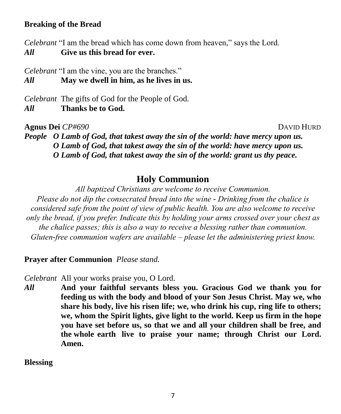#### **Breaking of the Bread**

*Celebrant* "I am the bread which has come down from heaven," says the Lord. *All* **Give us this bread for ever.**

*Celebrant* "I am the vine, you are the branches."

*All* **May we dwell in him, as he lives in us.**

*Celebrant* The gifts of God for the People of God.

*All* **Thanks be to God.**

**Agnus Dei** *CP#690* DAVID HURD

*People O Lamb of God, that takest away the sin of the world: have mercy upon us. O Lamb of God, that takest away the sin of the world: have mercy upon us. O Lamb of God, that takest away the sin of the world: grant us thy peace.*

## **Holy Communion**

*All baptized Christians are welcome to receive Communion.*

*Please do not dip the consecrated bread into the wine - Drinking from the chalice is considered safe from the point of view of public health. You are also welcome to receive only the bread, if you prefer. Indicate this by holding your arms crossed over your chest as the chalice passes; this is also a way to receive a blessing rather than communion. Gluten-free communion wafers are available – please let the administering priest know.*

**Prayer after Communion** *Please stand.*

*Celebrant* All your works praise you, O Lord.

*All* **And your faithful servants bless you. Gracious God we thank you for feeding us with the body and blood of your Son Jesus Christ. May we, who share his body, live his risen life; we, who drink his cup, ring life to others; we, whom the Spirit lights, give light to the world. Keep us firm in the hope you have set before us, so that we and all your children shall be free, and the whole earth live to praise your name; through Christ our Lord. Amen.**

**Blessing**